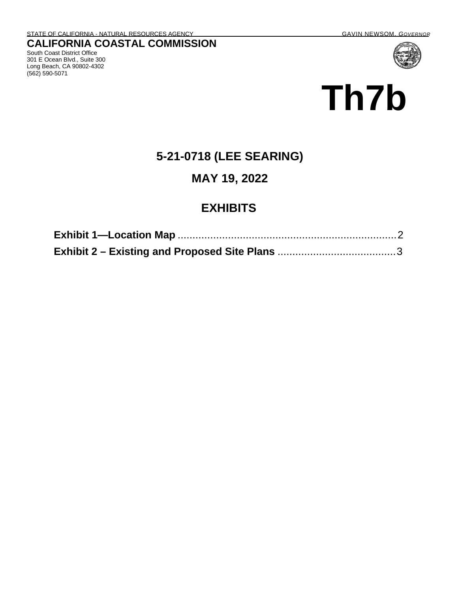South Coast District Office 301 E Ocean Blvd., Suite 300 Long Beach, CA 90802-4302

(562) 590-5071

# **Th7b**

# **5-21-0718 (LEE SEARING)**

#### **MAY 19, 2022**

### **EXHIBITS**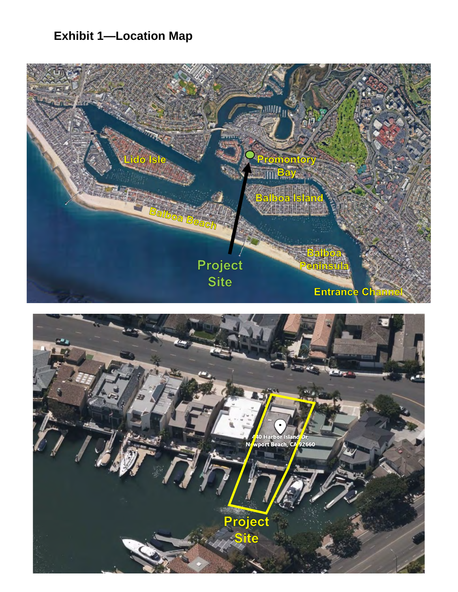# <span id="page-1-0"></span>**Exhibit 1-Location Map**



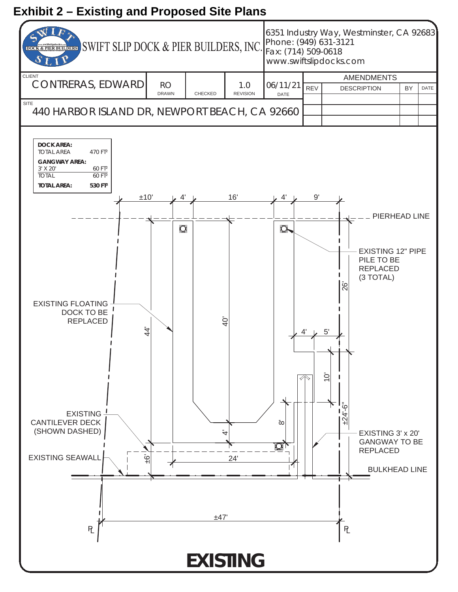# <span id="page-2-0"></span>**Exhibit 2 – Existing and Proposed Site Plans**

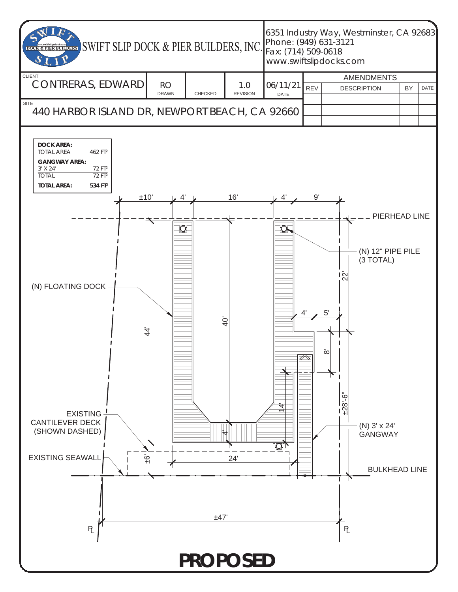